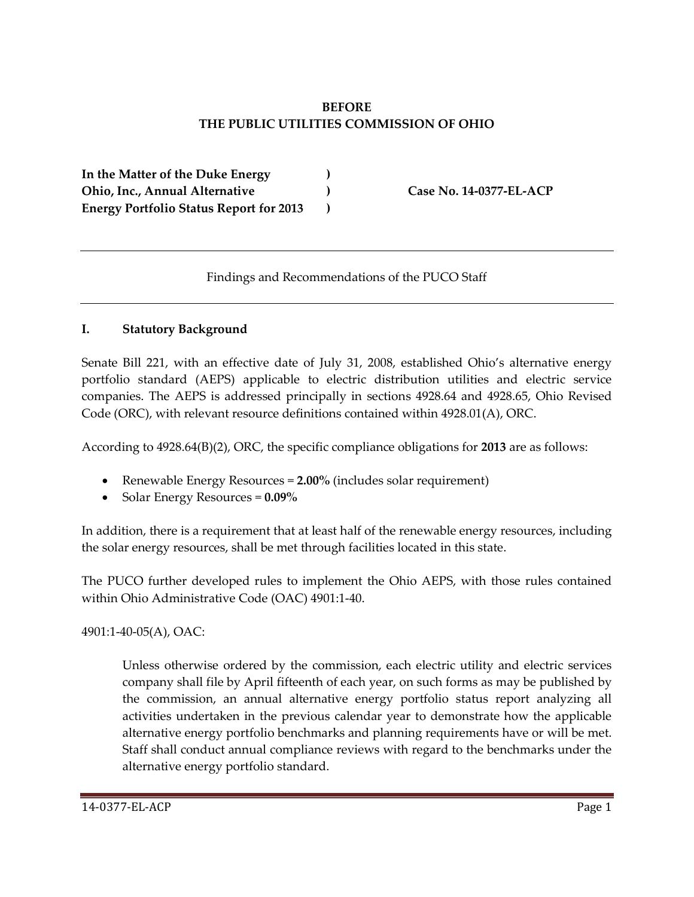# **BEFORE THE PUBLIC UTILITIES COMMISSION OF OHIO**

**In the Matter of the Duke Energy ) Ohio, Inc., Annual Alternative ) Case No. 14-0377-EL-ACP Energy Portfolio Status Report for 2013 )**

Findings and Recommendations of the PUCO Staff

## **I. Statutory Background**

Senate Bill 221, with an effective date of July 31, 2008, established Ohio's alternative energy portfolio standard (AEPS) applicable to electric distribution utilities and electric service companies. The AEPS is addressed principally in sections 4928.64 and 4928.65, Ohio Revised Code (ORC), with relevant resource definitions contained within 4928.01(A), ORC.

According to 4928.64(B)(2), ORC, the specific compliance obligations for **2013** are as follows:

- Renewable Energy Resources = **2.00%** (includes solar requirement)
- Solar Energy Resources = **0.09%**

In addition, there is a requirement that at least half of the renewable energy resources, including the solar energy resources, shall be met through facilities located in this state.

The PUCO further developed rules to implement the Ohio AEPS, with those rules contained within Ohio Administrative Code (OAC) 4901:1-40.

4901:1-40-05(A), OAC:

Unless otherwise ordered by the commission, each electric utility and electric services company shall file by April fifteenth of each year, on such forms as may be published by the commission, an annual alternative energy portfolio status report analyzing all activities undertaken in the previous calendar year to demonstrate how the applicable alternative energy portfolio benchmarks and planning requirements have or will be met. Staff shall conduct annual compliance reviews with regard to the benchmarks under the alternative energy portfolio standard.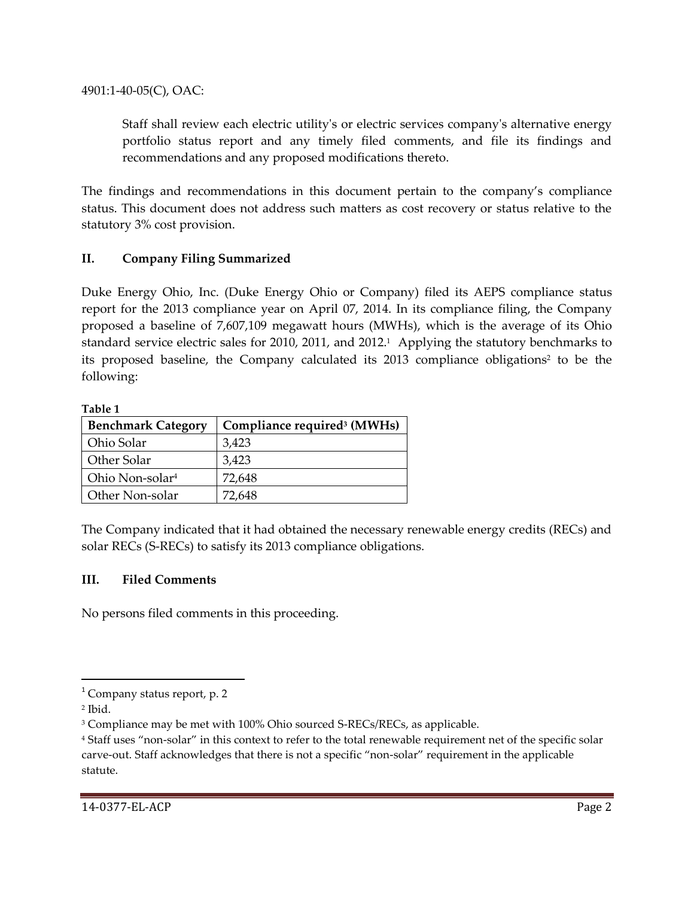4901:1-40-05(C), OAC:

Staff shall review each electric utility's or electric services company's alternative energy portfolio status report and any timely filed comments, and file its findings and recommendations and any proposed modifications thereto.

The findings and recommendations in this document pertain to the company's compliance status. This document does not address such matters as cost recovery or status relative to the statutory 3% cost provision.

## **II. Company Filing Summarized**

Duke Energy Ohio, Inc. (Duke Energy Ohio or Company) filed its AEPS compliance status report for the 2013 compliance year on April 07, 2014. In its compliance filing, the Company proposed a baseline of 7,607,109 megawatt hours (MWHs), which is the average of its Ohio standard service electric sales for 2010, 2011, and 2012. 1 Applying the statutory benchmarks to its proposed baseline, the Company calculated its 2013 compliance obligations<sup>2</sup> to be the following:

#### **Table 1**

| <b>Benchmark Category</b>   | Compliance required <sup>3</sup> (MWHs) |
|-----------------------------|-----------------------------------------|
| Ohio Solar                  | 3,423                                   |
| Other Solar                 | 3,423                                   |
| Ohio Non-solar <sup>4</sup> | 72,648                                  |
| Other Non-solar             | 72,648                                  |

The Company indicated that it had obtained the necessary renewable energy credits (RECs) and solar RECs (S-RECs) to satisfy its 2013 compliance obligations.

## **III. Filed Comments**

No persons filed comments in this proceeding.

l

 $<sup>1</sup>$  Company status report, p. 2</sup>

<sup>2</sup> Ibid.

<sup>&</sup>lt;sup>3</sup> Compliance may be met with 100% Ohio sourced S-RECs/RECs, as applicable.

<sup>4</sup> Staff uses "non-solar" in this context to refer to the total renewable requirement net of the specific solar carve-out. Staff acknowledges that there is not a specific "non-solar" requirement in the applicable statute.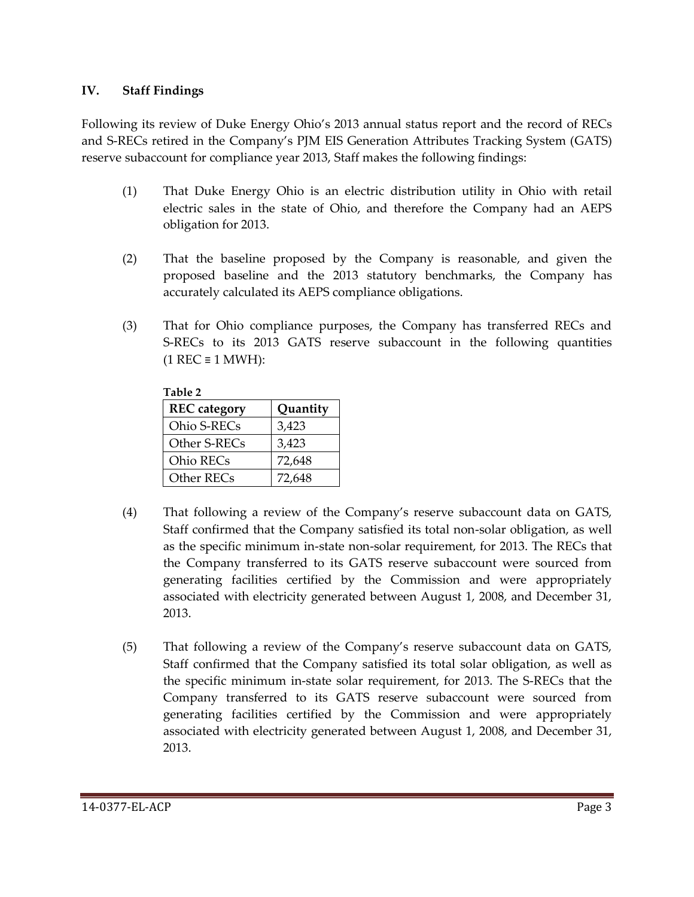## **IV. Staff Findings**

Following its review of Duke Energy Ohio's 2013 annual status report and the record of RECs and S-RECs retired in the Company's PJM EIS Generation Attributes Tracking System (GATS) reserve subaccount for compliance year 2013, Staff makes the following findings:

- (1) That Duke Energy Ohio is an electric distribution utility in Ohio with retail electric sales in the state of Ohio, and therefore the Company had an AEPS obligation for 2013.
- (2) That the baseline proposed by the Company is reasonable, and given the proposed baseline and the 2013 statutory benchmarks, the Company has accurately calculated its AEPS compliance obligations.
- (3) That for Ohio compliance purposes, the Company has transferred RECs and S-RECs to its 2013 GATS reserve subaccount in the following quantities  $(1$  REC  $\equiv$  1 MWH):

| Table 2             |          |
|---------------------|----------|
| <b>REC</b> category | Quantity |
| Ohio S-RECs         | 3,423    |
| Other S-RECs        | 3,423    |
| Ohio RECs           | 72,648   |
| Other RECs          | 72,648   |

- (4) That following a review of the Company's reserve subaccount data on GATS, Staff confirmed that the Company satisfied its total non-solar obligation, as well as the specific minimum in-state non-solar requirement, for 2013. The RECs that the Company transferred to its GATS reserve subaccount were sourced from generating facilities certified by the Commission and were appropriately associated with electricity generated between August 1, 2008, and December 31, 2013.
- (5) That following a review of the Company's reserve subaccount data on GATS, Staff confirmed that the Company satisfied its total solar obligation, as well as the specific minimum in-state solar requirement, for 2013. The S-RECs that the Company transferred to its GATS reserve subaccount were sourced from generating facilities certified by the Commission and were appropriately associated with electricity generated between August 1, 2008, and December 31, 2013.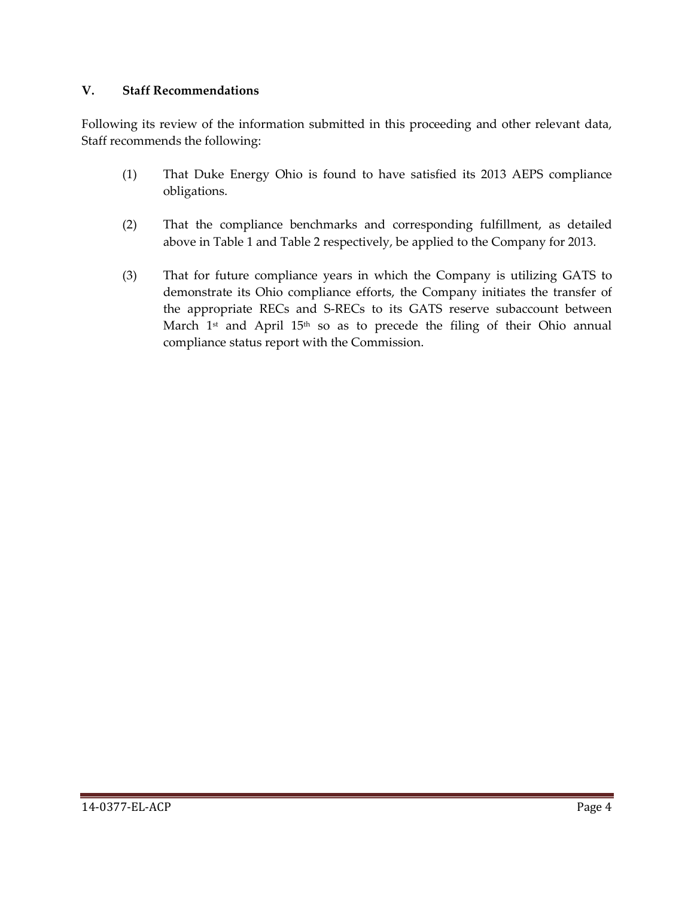## **V. Staff Recommendations**

Following its review of the information submitted in this proceeding and other relevant data, Staff recommends the following:

- (1) That Duke Energy Ohio is found to have satisfied its 2013 AEPS compliance obligations.
- (2) That the compliance benchmarks and corresponding fulfillment, as detailed above in Table 1 and Table 2 respectively, be applied to the Company for 2013.
- (3) That for future compliance years in which the Company is utilizing GATS to demonstrate its Ohio compliance efforts, the Company initiates the transfer of the appropriate RECs and S-RECs to its GATS reserve subaccount between March  $1<sup>st</sup>$  and April  $15<sup>th</sup>$  so as to precede the filing of their Ohio annual compliance status report with the Commission.